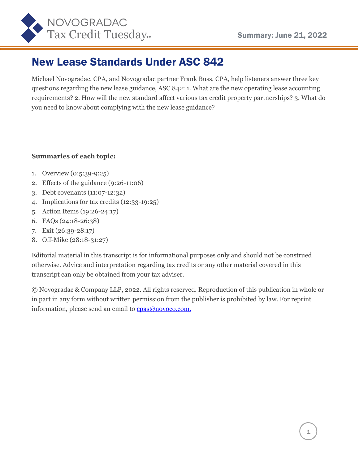

## New Lease Standards Under ASC 842

Michael Novogradac, CPA, and Novogradac partner Frank Buss, CPA, help listeners answer three key questions regarding the new lease guidance, ASC 842: 1. What are the new operating lease accounting requirements? 2. How will the new standard affect various tax credit property partnerships? 3. What do you need to know about complying with the new lease guidance?

#### **Summaries of each topic:**

- 1. Overview (0:5:39-9:25)
- 2. Effects of the guidance (9:26-11:06)
- 3. Debt covenants (11:07-12:32)
- 4. Implications for tax credits (12:33-19:25)
- 5. Action Items (19:26-24:17)
- 6. FAQs (24:18-26:38)
- 7. Exit (26:39-28:17)
- 8. Off-Mike (28:18-31:27)

Editorial material in this transcript is for informational purposes only and should not be construed otherwise. Advice and interpretation regarding tax credits or any other material covered in this transcript can only be obtained from your tax adviser.

© Novogradac & Company LLP, 2022. All rights reserved. Reproduction of this publication in whole or in part in any form without written permission from the publisher is prohibited by law. For reprint information, please send an email to [cpas@novoco.com.](mailto:cpas@novoco.com.)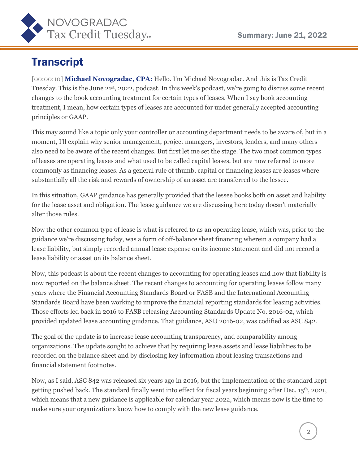

# **Transcript**

[00:00:10] **Michael Novogradac, CPA:** Hello. I'm Michael Novogradac. And this is Tax Credit Tuesday. This is the June 21st, 2022, podcast. In this week's podcast, we're going to discuss some recent changes to the book accounting treatment for certain types of leases. When I say book accounting treatment, I mean, how certain types of leases are accounted for under generally accepted accounting principles or GAAP.

This may sound like a topic only your controller or accounting department needs to be aware of, but in a moment, I'll explain why senior management, project managers, investors, lenders, and many others also need to be aware of the recent changes. But first let me set the stage. The two most common types of leases are operating leases and what used to be called capital leases, but are now referred to more commonly as financing leases. As a general rule of thumb, capital or financing leases are leases where substantially all the risk and rewards of ownership of an asset are transferred to the lessee.

In this situation, GAAP guidance has generally provided that the lessee books both on asset and liability for the lease asset and obligation. The lease guidance we are discussing here today doesn't materially alter those rules.

Now the other common type of lease is what is referred to as an operating lease, which was, prior to the guidance we're discussing today, was a form of off-balance sheet financing wherein a company had a lease liability, but simply recorded annual lease expense on its income statement and did not record a lease liability or asset on its balance sheet.

Now, this podcast is about the recent changes to accounting for operating leases and how that liability is now reported on the balance sheet. The recent changes to accounting for operating leases follow many years where the Financial Accounting Standards Board or FASB and the International Accounting Standards Board have been working to improve the financial reporting standards for leasing activities. Those efforts led back in 2016 to FASB releasing Accounting Standards Update No. 2016-02, which provided updated lease accounting guidance. That guidance, ASU 2016-02, was codified as ASC 842.

The goal of the update is to increase lease accounting transparency, and comparability among organizations. The update sought to achieve that by requiring lease assets and lease liabilities to be recorded on the balance sheet and by disclosing key information about leasing transactions and financial statement footnotes.

Now, as I said, ASC 842 was released six years ago in 2016, but the implementation of the standard kept getting pushed back. The standard finally went into effect for fiscal years beginning after Dec. 15th, 2021, which means that a new guidance is applicable for calendar year 2022, which means now is the time to make sure your organizations know how to comply with the new lease guidance.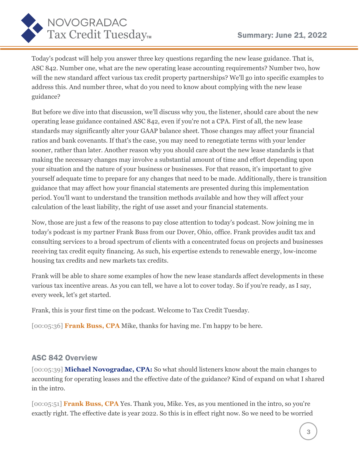

Today's podcast will help you answer three key questions regarding the new lease guidance. That is, ASC 842. Number one, what are the new operating lease accounting requirements? Number two, how will the new standard affect various tax credit property partnerships? We'll go into specific examples to address this. And number three, what do you need to know about complying with the new lease guidance?

But before we dive into that discussion, we'll discuss why you, the listener, should care about the new operating lease guidance contained ASC 842, even if you're not a CPA. First of all, the new lease standards may significantly alter your GAAP balance sheet. Those changes may affect your financial ratios and bank covenants. If that's the case, you may need to renegotiate terms with your lender sooner, rather than later. Another reason why you should care about the new lease standards is that making the necessary changes may involve a substantial amount of time and effort depending upon your situation and the nature of your business or businesses. For that reason, it's important to give yourself adequate time to prepare for any changes that need to be made. Additionally, there is transition guidance that may affect how your financial statements are presented during this implementation period. You'll want to understand the transition methods available and how they will affect your calculation of the least liability, the right of use asset and your financial statements.

Now, those are just a few of the reasons to pay close attention to today's podcast. Now joining me in today's podcast is my partner Frank Buss from our Dover, Ohio, office. Frank provides audit tax and consulting services to a broad spectrum of clients with a concentrated focus on projects and businesses receiving tax credit equity financing. As such, his expertise extends to renewable energy, low-income housing tax credits and new markets tax credits.

Frank will be able to share some examples of how the new lease standards affect developments in these various tax incentive areas. As you can tell, we have a lot to cover today. So if you're ready, as I say, every week, let's get started.

Frank, this is your first time on the podcast. Welcome to Tax Credit Tuesday.

[00:05:36] **Frank Buss, CPA** Mike, thanks for having me. I'm happy to be here.

#### ASC 842 Overview

[00:05:39] **Michael Novogradac, CPA:** So what should listeners know about the main changes to accounting for operating leases and the effective date of the guidance? Kind of expand on what I shared in the intro.

[00:05:51] **Frank Buss, CPA** Yes. Thank you, Mike. Yes, as you mentioned in the intro, so you're exactly right. The effective date is year 2022. So this is in effect right now. So we need to be worried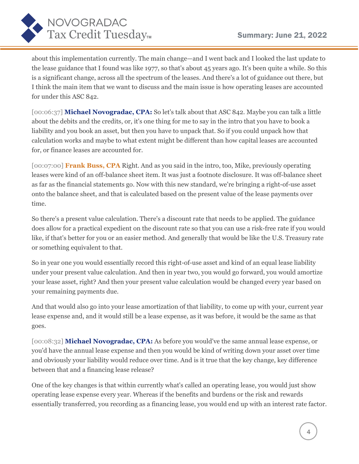

about this implementation currently. The main change—and I went back and I looked the last update to the lease guidance that I found was like 1977, so that's about 45 years ago. It's been quite a while. So this is a significant change, across all the spectrum of the leases. And there's a lot of guidance out there, but I think the main item that we want to discuss and the main issue is how operating leases are accounted for under this ASC 842.

[00:06:37] **Michael Novogradac, CPA:** So let's talk about that ASC 842. Maybe you can talk a little about the debits and the credits, or, it's one thing for me to say in the intro that you have to book a liability and you book an asset, but then you have to unpack that. So if you could unpack how that calculation works and maybe to what extent might be different than how capital leases are accounted for, or finance leases are accounted for.

[00:07:00] **Frank Buss, CPA** Right. And as you said in the intro, too, Mike, previously operating leases were kind of an off-balance sheet item. It was just a footnote disclosure. It was off-balance sheet as far as the financial statements go. Now with this new standard, we're bringing a right-of-use asset onto the balance sheet, and that is calculated based on the present value of the lease payments over time.

So there's a present value calculation. There's a discount rate that needs to be applied. The guidance does allow for a practical expedient on the discount rate so that you can use a risk-free rate if you would like, if that's better for you or an easier method. And generally that would be like the U.S. Treasury rate or something equivalent to that.

So in year one you would essentially record this right-of-use asset and kind of an equal lease liability under your present value calculation. And then in year two, you would go forward, you would amortize your lease asset, right? And then your present value calculation would be changed every year based on your remaining payments due.

And that would also go into your lease amortization of that liability, to come up with your, current year lease expense and, and it would still be a lease expense, as it was before, it would be the same as that goes.

[00:08:32] **Michael Novogradac, CPA:** As before you would've the same annual lease expense, or you'd have the annual lease expense and then you would be kind of writing down your asset over time and obviously your liability would reduce over time. And is it true that the key change, key difference between that and a financing lease release?

One of the key changes is that within currently what's called an operating lease, you would just show operating lease expense every year. Whereas if the benefits and burdens or the risk and rewards essentially transferred, you recording as a financing lease, you would end up with an interest rate factor.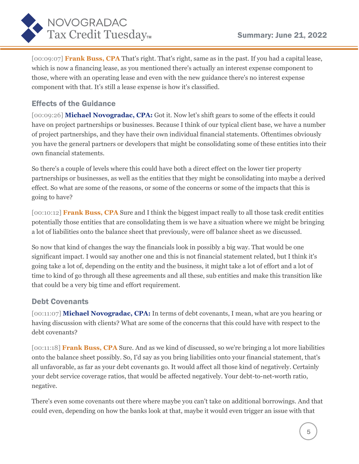

[00:09:07] **Frank Buss, CPA** That's right. That's right, same as in the past. If you had a capital lease, which is now a financing lease, as you mentioned there's actually an interest expense component to those, where with an operating lease and even with the new guidance there's no interest expense component with that. It's still a lease expense is how it's classified.

## Effects of the Guidance

[00:09:26] **Michael Novogradac, CPA:** Got it. Now let's shift gears to some of the effects it could have on project partnerships or businesses. Because I think of our typical client base, we have a number of project partnerships, and they have their own individual financial statements. Oftentimes obviously you have the general partners or developers that might be consolidating some of these entities into their own financial statements.

So there's a couple of levels where this could have both a direct effect on the lower tier property partnerships or businesses, as well as the entities that they might be consolidating into maybe a derived effect. So what are some of the reasons, or some of the concerns or some of the impacts that this is going to have?

[00:10:12] **Frank Buss, CPA** Sure and I think the biggest impact really to all those task credit entities potentially those entities that are consolidating them is we have a situation where we might be bringing a lot of liabilities onto the balance sheet that previously, were off balance sheet as we discussed.

So now that kind of changes the way the financials look in possibly a big way. That would be one significant impact. I would say another one and this is not financial statement related, but I think it's going take a lot of, depending on the entity and the business, it might take a lot of effort and a lot of time to kind of go through all these agreements and all these, sub entities and make this transition like that could be a very big time and effort requirement.

#### Debt Covenants

[00:11:07] **Michael Novogradac, CPA:** In terms of debt covenants, I mean, what are you hearing or having discussion with clients? What are some of the concerns that this could have with respect to the debt covenants?

[00:11:18] **Frank Buss, CPA** Sure. And as we kind of discussed, so we're bringing a lot more liabilities onto the balance sheet possibly. So, I'd say as you bring liabilities onto your financial statement, that's all unfavorable, as far as your debt covenants go. It would affect all those kind of negatively. Certainly your debt service coverage ratios, that would be affected negatively. Your debt-to-net-worth ratio, negative.

There's even some covenants out there where maybe you can't take on additional borrowings. And that could even, depending on how the banks look at that, maybe it would even trigger an issue with that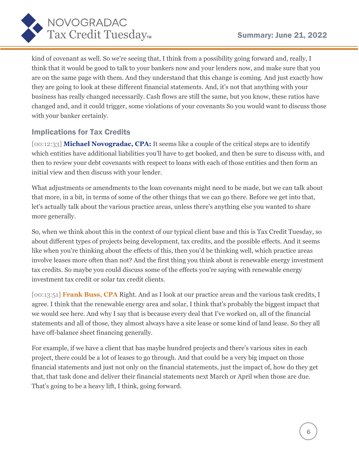

kind of covenant as well. So we're seeing that, I think from a possibility going forward and, really, I think that it would be good to talk to your bankers now and your lenders now, and make sure that you are on the same page with them. And they understand that this change is coming. And just exactly how they are going to look at these different financial statements. And, it's not that anything with your business has really changed necessarily. Cash flows are still the same, but you know, these ratios have changed and, and it could trigger, some violations of your covenants So you would want to discuss those with your banker certainly.

### Implications for Tax Credits

[00:12:33] **Michael Novogradac, CPA:** It seems like a couple of the critical steps are to identify which entities have additional liabilities you'll have to get booked, and then be sure to discuss with, and then to review your debt covenants with respect to loans with each of those entities and then form an initial view and then discuss with your lender.

What adjustments or amendments to the loan covenants might need to be made, but we can talk about that more, in a bit, in terms of some of the other things that we can go there. Before we get into that, let's actually talk about the various practice areas, unless there's anything else you wanted to share more generally.

So, when we think about this in the context of our typical client base and this is Tax Credit Tuesday, so about different types of projects being development, tax credits, and the possible effects. And it seems like when you're thinking about the effects of this, then you'd be thinking well, which practice areas involve leases more often than not? And the first thing you think about is renewable energy investment tax credits. So maybe you could discuss some of the effects you're saying with renewable energy investment tax credit or solar tax credit clients.

[00:13:51] **Frank Buss, CPA** Right. And as I look at our practice areas and the various task credits, I agree. I think that the renewable energy area and solar, I think that's probably the biggest impact that we would see here. And why I say that is because every deal that I've worked on, all of the financial statements and all of those, they almost always have a site lease or some kind of land lease. So they all have off-balance sheet financing generally.

For example, if we have a client that has maybe hundred projects and there's various sites in each project, there could be a lot of leases to go through. And that could be a very big impact on those financial statements and just not only on the financial statements, just the impact of, how do they get that, that task done and deliver their financial statements next March or April when those are due. That's going to be a heavy lift, I think, going forward.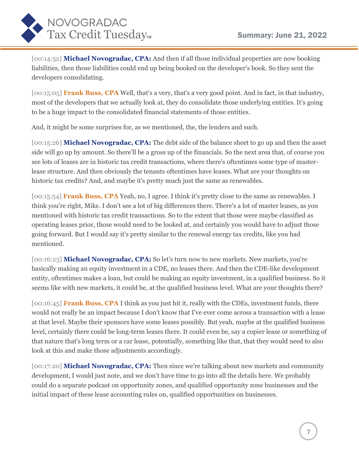

[00:14:52] **Michael Novogradac, CPA:** And then if all those individual properties are now booking liabilities, then those liabilities could end up being booked on the developer's book. So they sent the developers consolidating.

[00:15:05] **Frank Buss, CPA** Well, that's a very, that's a very good point. And in fact, in that industry, most of the developers that we actually look at, they do consolidate those underlying entities. It's going to be a huge impact to the consolidated financial statements of those entities.

And, it might be some surprises for, as we mentioned, the, the lenders and such.

[00:15:26] **Michael Novogradac, CPA:** The debt side of the balance sheet to go up and then the asset side will go up by amount. So there'll be a gross up of the financials. So the next area that, of course you see lots of leases are in historic tax credit transactions, where there's oftentimes some type of masterlease structure. And then obviously the tenants oftentimes have leases. What are your thoughts on historic tax credits? And, and maybe it's pretty much just the same as renewables.

[00:15:54] **Frank Buss, CPA** Yeah, no, I agree. I think it's pretty close to the same as renewables. I think you're right, Mike. I don't see a lot of big differences there. There's a lot of master leases, as you mentioned with historic tax credit transactions. So to the extent that those were maybe classified as operating leases prior, those would need to be looked at, and certainly you would have to adjust those going forward. But I would say it's pretty similar to the renewal energy tax credits, like you had mentioned.

[00:16:23] **Michael Novogradac, CPA:** So let's turn now to new markets. New markets, you're basically making an equity investment in a CDE, no leases there. And then the CDE-like development entity, oftentimes makes a loan, but could be making an equity investment, in a qualified business. So it seems like with new markets, it could be, at the qualified business level. What are your thoughts there?

[00:16:45] **Frank Buss, CPA** I think as you just hit it, really with the CDEs, investment funds, there would not really be an impact because I don't know that I've ever come across a transaction with a lease at that level. Maybe their sponsors have some leases possibly. But yeah, maybe at the qualified business level, certainly there could be long-term leases there. It could even be, say a copier lease or something of that nature that's long term or a car lease, potentially, something like that, that they would need to also look at this and make those adjustments accordingly.

[00:17:20] **Michael Novogradac, CPA:** Then since we're talking about new markets and community development, I would just note, and we don't have time to go into all the details here. We probably could do a separate podcast on opportunity zones, and qualified opportunity zone businesses and the initial impact of these lease accounting rules on, qualified opportunities on businesses.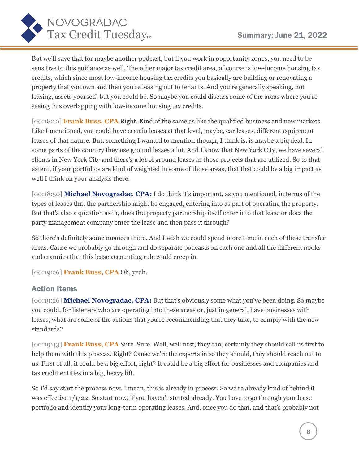

But we'll save that for maybe another podcast, but if you work in opportunity zones, you need to be sensitive to this guidance as well. The other major tax credit area, of course is low-income housing tax credits, which since most low-income housing tax credits you basically are building or renovating a property that you own and then you're leasing out to tenants. And you're generally speaking, not leasing, assets yourself, but you could be. So maybe you could discuss some of the areas where you're seeing this overlapping with low-income housing tax credits.

[00:18:10] **Frank Buss, CPA** Right. Kind of the same as like the qualified business and new markets. Like I mentioned, you could have certain leases at that level, maybe, car leases, different equipment leases of that nature. But, something I wanted to mention though, I think is, is maybe a big deal. In some parts of the country they use ground leases a lot. And I know that New York City, we have several clients in New York City and there's a lot of ground leases in those projects that are utilized. So to that extent, if your portfolios are kind of weighted in some of those areas, that that could be a big impact as well I think on your analysis there.

[00:18:50] **Michael Novogradac, CPA:** I do think it's important, as you mentioned, in terms of the types of leases that the partnership might be engaged, entering into as part of operating the property. But that's also a question as in, does the property partnership itself enter into that lease or does the party management company enter the lease and then pass it through?

So there's definitely some nuances there. And I wish we could spend more time in each of these transfer areas. Cause we probably go through and do separate podcasts on each one and all the different nooks and crannies that this lease accounting rule could creep in.

[00:19:26] **Frank Buss, CPA** Oh, yeah.

#### Action Items

[00:19:26] **Michael Novogradac, CPA:** But that's obviously some what you've been doing. So maybe you could, for listeners who are operating into these areas or, just in general, have businesses with leases, what are some of the actions that you're recommending that they take, to comply with the new standards?

[00:19:43] **Frank Buss, CPA** Sure. Sure. Well, well first, they can, certainly they should call us first to help them with this process. Right? Cause we're the experts in so they should, they should reach out to us. First of all, it could be a big effort, right? It could be a big effort for businesses and companies and tax credit entities in a big, heavy lift.

So I'd say start the process now. I mean, this is already in process. So we're already kind of behind it was effective 1/1/22. So start now, if you haven't started already. You have to go through your lease portfolio and identify your long-term operating leases. And, once you do that, and that's probably not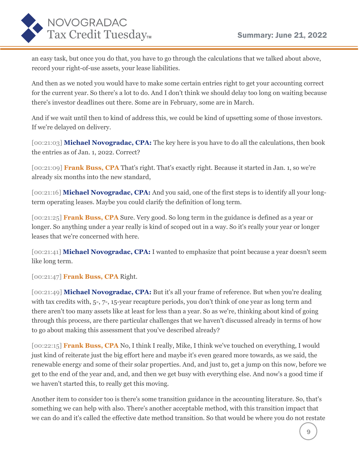

an easy task, but once you do that, you have to go through the calculations that we talked about above, record your right-of-use assets, your lease liabilities.

And then as we noted you would have to make some certain entries right to get your accounting correct for the current year. So there's a lot to do. And I don't think we should delay too long on waiting because there's investor deadlines out there. Some are in February, some are in March.

And if we wait until then to kind of address this, we could be kind of upsetting some of those investors. If we're delayed on delivery.

[00:21:03] **Michael Novogradac, CPA:** The key here is you have to do all the calculations, then book the entries as of Jan. 1, 2022. Correct?

[00:21:09] **Frank Buss, CPA** That's right. That's exactly right. Because it started in Jan. 1, so we're already six months into the new standard,

[00:21:16] **Michael Novogradac, CPA:** And you said, one of the first steps is to identify all your longterm operating leases. Maybe you could clarify the definition of long term.

[00:21:25] **Frank Buss, CPA** Sure. Very good. So long term in the guidance is defined as a year or longer. So anything under a year really is kind of scoped out in a way. So it's really your year or longer leases that we're concerned with here.

[00:21:41] **Michael Novogradac, CPA:** I wanted to emphasize that point because a year doesn't seem like long term.

[00:21:47] **Frank Buss, CPA** Right.

[00:21:49] **Michael Novogradac, CPA:** But it's all your frame of reference. But when you're dealing with tax credits with, 5-, 7-, 15-year recapture periods, you don't think of one year as long term and there aren't too many assets like at least for less than a year. So as we're, thinking about kind of going through this process, are there particular challenges that we haven't discussed already in terms of how to go about making this assessment that you've described already?

[00:22:15] **Frank Buss, CPA** No, I think I really, Mike, I think we've touched on everything, I would just kind of reiterate just the big effort here and maybe it's even geared more towards, as we said, the renewable energy and some of their solar properties. And, and just to, get a jump on this now, before we get to the end of the year and, and, and then we get busy with everything else. And now's a good time if we haven't started this, to really get this moving.

Another item to consider too is there's some transition guidance in the accounting literature. So, that's something we can help with also. There's another acceptable method, with this transition impact that we can do and it's called the effective date method transition. So that would be where you do not restate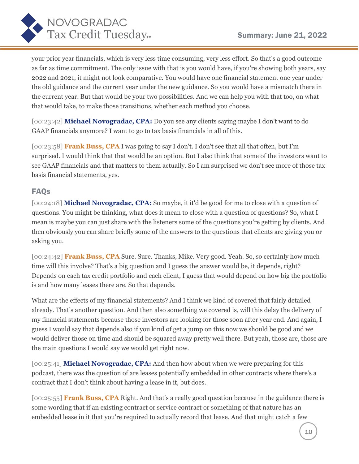

your prior year financials, which is very less time consuming, very less effort. So that's a good outcome as far as time commitment. The only issue with that is you would have, if you're showing both years, say 2022 and 2021, it might not look comparative. You would have one financial statement one year under the old guidance and the current year under the new guidance. So you would have a mismatch there in the current year. But that would be your two possibilities. And we can help you with that too, on what that would take, to make those transitions, whether each method you choose.

[00:23:42] **Michael Novogradac, CPA:** Do you see any clients saying maybe I don't want to do GAAP financials anymore? I want to go to tax basis financials in all of this.

[00:23:58] **Frank Buss, CPA** I was going to say I don't. I don't see that all that often, but I'm surprised. I would think that that would be an option. But I also think that some of the investors want to see GAAP financials and that matters to them actually. So I am surprised we don't see more of those tax basis financial statements, yes.

#### FAQs

[00:24:18] **Michael Novogradac, CPA:** So maybe, it it'd be good for me to close with a question of questions. You might be thinking, what does it mean to close with a question of questions? So, what I mean is maybe you can just share with the listeners some of the questions you're getting by clients. And then obviously you can share briefly some of the answers to the questions that clients are giving you or asking you.

[00:24:42] **Frank Buss, CPA** Sure. Sure. Thanks, Mike. Very good. Yeah. So, so certainly how much time will this involve? That's a big question and I guess the answer would be, it depends, right? Depends on each tax credit portfolio and each client, I guess that would depend on how big the portfolio is and how many leases there are. So that depends.

What are the effects of my financial statements? And I think we kind of covered that fairly detailed already. That's another question. And then also something we covered is, will this delay the delivery of my financial statements because those investors are looking for those soon after year end. And again, I guess I would say that depends also if you kind of get a jump on this now we should be good and we would deliver those on time and should be squared away pretty well there. But yeah, those are, those are the main questions I would say we would get right now.

[00:25:41] **Michael Novogradac, CPA:** And then how about when we were preparing for this podcast, there was the question of are leases potentially embedded in other contracts where there's a contract that I don't think about having a lease in it, but does.

[00:25:55] **Frank Buss, CPA** Right. And that's a really good question because in the guidance there is some wording that if an existing contract or service contract or something of that nature has an embedded lease in it that you're required to actually record that lease. And that might catch a few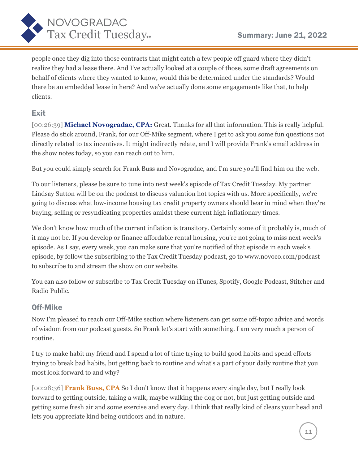

people once they dig into those contracts that might catch a few people off guard where they didn't realize they had a lease there. And I've actually looked at a couple of those, some draft agreements on behalf of clients where they wanted to know, would this be determined under the standards? Would there be an embedded lease in here? And we've actually done some engagements like that, to help clients.

## Exit

[00:26:39] **Michael Novogradac, CPA:** Great. Thanks for all that information. This is really helpful. Please do stick around, Frank, for our Off-Mike segment, where I get to ask you some fun questions not directly related to tax incentives. It might indirectly relate, and I will provide Frank's email address in the show notes today, so you can reach out to him.

But you could simply search for Frank Buss and Novogradac, and I'm sure you'll find him on the web.

To our listeners, please be sure to tune into next week's episode of Tax Credit Tuesday. My partner Lindsay Sutton will be on the podcast to discuss valuation hot topics with us. More specifically, we're going to discuss what low-income housing tax credit property owners should bear in mind when they're buying, selling or resyndicating properties amidst these current high inflationary times.

We don't know how much of the current inflation is transitory. Certainly some of it probably is, much of it may not be. If you develop or finance affordable rental housing, you're not going to miss next week's episode. As I say, every week, you can make sure that you're notified of that episode in each week's episode, by follow the subscribing to the Tax Credit Tuesday podcast, go to www.novoco.com/podcast to subscribe to and stream the show on our website.

You can also follow or subscribe to Tax Credit Tuesday on iTunes, Spotify, Google Podcast, Stitcher and Radio Public.

#### Off-Mike

Now I'm pleased to reach our Off-Mike section where listeners can get some off-topic advice and words of wisdom from our podcast guests. So Frank let's start with something. I am very much a person of routine.

I try to make habit my friend and I spend a lot of time trying to build good habits and spend efforts trying to break bad habits, but getting back to routine and what's a part of your daily routine that you most look forward to and why?

[00:28:36] **Frank Buss, CPA** So I don't know that it happens every single day, but I really look forward to getting outside, taking a walk, maybe walking the dog or not, but just getting outside and getting some fresh air and some exercise and every day. I think that really kind of clears your head and lets you appreciate kind being outdoors and in nature.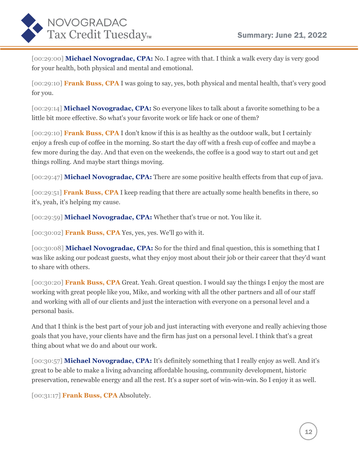

[00:29:00] **Michael Novogradac, CPA:** No. I agree with that. I think a walk every day is very good for your health, both physical and mental and emotional.

[00:29:10] **Frank Buss, CPA** I was going to say, yes, both physical and mental health, that's very good for you.

[00:29:14] **Michael Novogradac, CPA:** So everyone likes to talk about a favorite something to be a little bit more effective. So what's your favorite work or life hack or one of them?

[00:29:10] **Frank Buss, CPA** I don't know if this is as healthy as the outdoor walk, but I certainly enjoy a fresh cup of coffee in the morning. So start the day off with a fresh cup of coffee and maybe a few more during the day. And that even on the weekends, the coffee is a good way to start out and get things rolling. And maybe start things moving.

[00:29:47] **Michael Novogradac, CPA:** There are some positive health effects from that cup of java.

[00:29:51] **Frank Buss, CPA** I keep reading that there are actually some health benefits in there, so it's, yeah, it's helping my cause.

[00:29:59] **Michael Novogradac, CPA:** Whether that's true or not. You like it.

[00:30:02] **Frank Buss, CPA** Yes, yes, yes. We'll go with it.

[00:30:08] **Michael Novogradac, CPA:** So for the third and final question, this is something that I was like asking our podcast guests, what they enjoy most about their job or their career that they'd want to share with others.

[00:30:20] **Frank Buss, CPA** Great. Yeah. Great question. I would say the things I enjoy the most are working with great people like you, Mike, and working with all the other partners and all of our staff and working with all of our clients and just the interaction with everyone on a personal level and a personal basis.

And that I think is the best part of your job and just interacting with everyone and really achieving those goals that you have, your clients have and the firm has just on a personal level. I think that's a great thing about what we do and about our work.

[00:30:57] **Michael Novogradac, CPA:** It's definitely something that I really enjoy as well. And it's great to be able to make a living advancing affordable housing, community development, historic preservation, renewable energy and all the rest. It's a super sort of win-win-win. So I enjoy it as well.

[00:31:17] **Frank Buss, CPA** Absolutely.